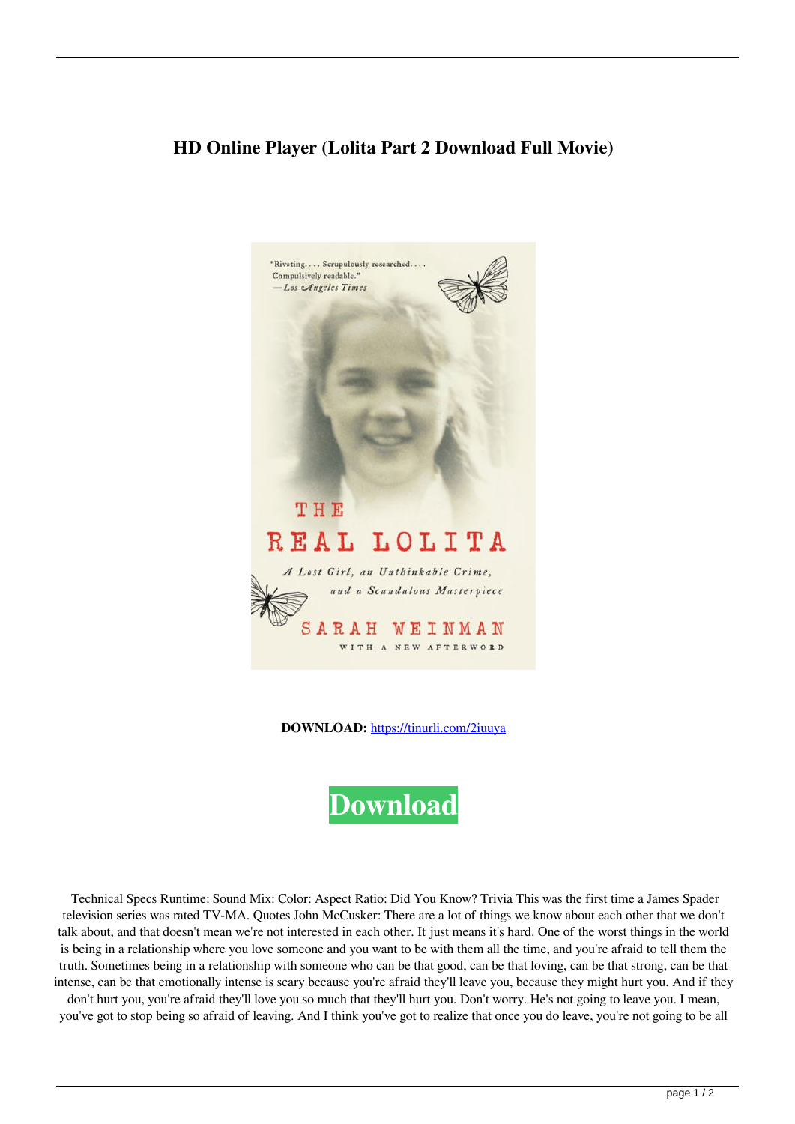## **HD Online Player (Lolita Part 2 Download Full Movie)**



**DOWNLOAD:** <https://tinurli.com/2iuuya>



 Technical Specs Runtime: Sound Mix: Color: Aspect Ratio: Did You Know? Trivia This was the first time a James Spader television series was rated TV-MA. Quotes John McCusker: There are a lot of things we know about each other that we don't talk about, and that doesn't mean we're not interested in each other. It just means it's hard. One of the worst things in the world is being in a relationship where you love someone and you want to be with them all the time, and you're afraid to tell them the truth. Sometimes being in a relationship with someone who can be that good, can be that loving, can be that strong, can be that intense, can be that emotionally intense is scary because you're afraid they'll leave you, because they might hurt you. And if they

don't hurt you, you're afraid they'll love you so much that they'll hurt you. Don't worry. He's not going to leave you. I mean, you've got to stop being so afraid of leaving. And I think you've got to realize that once you do leave, you're not going to be all